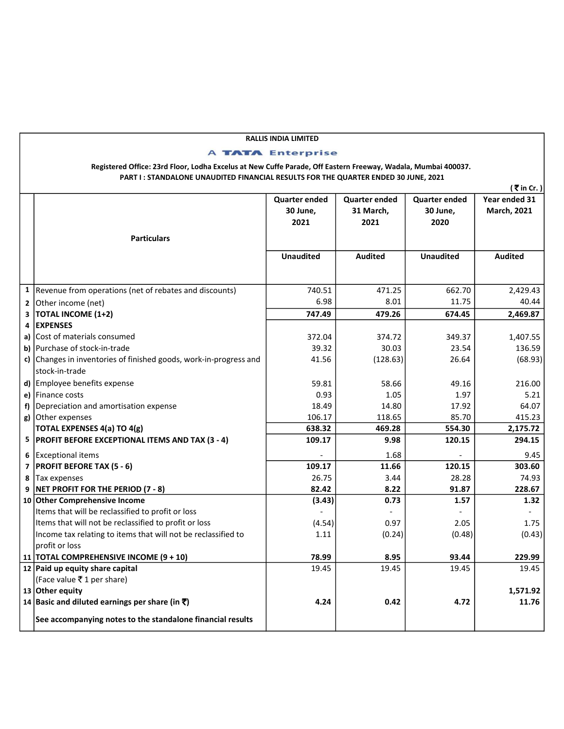## RALLIS INDIA LIMITED

## **A TATA Enterprise**

Registered Office: 23rd Floor, Lodha Excelus at New Cuffe Parade, Off Eastern Freeway, Wadala, Mumbai 400037. PART I : STANDALONE UNAUDITED FINANCIAL RESULTS FOR THE QUARTER ENDED 30 JUNE, 2021

|                                                                   |                      |                      |                      | (₹in Cr.)          |
|-------------------------------------------------------------------|----------------------|----------------------|----------------------|--------------------|
|                                                                   | <b>Quarter ended</b> | <b>Quarter ended</b> | <b>Quarter ended</b> | Year ended 31      |
|                                                                   | 30 June,             | 31 March,            | 30 June,             | <b>March, 2021</b> |
|                                                                   | 2021                 | 2021                 | 2020                 |                    |
| <b>Particulars</b>                                                |                      |                      |                      |                    |
|                                                                   |                      |                      |                      |                    |
|                                                                   | <b>Unaudited</b>     | <b>Audited</b>       | <b>Unaudited</b>     | <b>Audited</b>     |
|                                                                   |                      |                      |                      |                    |
| 1 Revenue from operations (net of rebates and discounts)          | 740.51               | 471.25               | 662.70               | 2,429.43           |
| 2 Other income (net)                                              | 6.98                 | 8.01                 | 11.75                | 40.44              |
| $3$ TOTAL INCOME (1+2)                                            | 747.49               | 479.26               | 674.45               | 2,469.87           |
| 4 EXPENSES                                                        |                      |                      |                      |                    |
| a) Cost of materials consumed                                     | 372.04               | 374.72               | 349.37               | 1,407.55           |
| b) Purchase of stock-in-trade                                     | 39.32                | 30.03                | 23.54                | 136.59             |
| c) Changes in inventories of finished goods, work-in-progress and | 41.56                | (128.63)             | 26.64                | (68.93)            |
| stock-in-trade                                                    |                      |                      |                      |                    |
| d) Employee benefits expense                                      | 59.81                | 58.66                | 49.16                | 216.00             |
| e) Finance costs                                                  | 0.93                 | 1.05                 | 1.97                 | 5.21               |
| f) Depreciation and amortisation expense                          | 18.49                | 14.80                | 17.92                | 64.07              |
| g) Other expenses                                                 | 106.17               | 118.65               | 85.70                | 415.23             |
| <b>TOTAL EXPENSES 4(a) TO 4(g)</b>                                | 638.32               | 469.28               | 554.30               | 2,175.72           |
| 5   PROFIT BEFORE EXCEPTIONAL ITEMS AND TAX (3 - 4)               | 109.17               | 9.98                 | 120.15               | 294.15             |
| 6 Exceptional items                                               |                      | 1.68                 |                      | 9.45               |
| 7   PROFIT BEFORE TAX (5 - 6)                                     | 109.17               | 11.66                | 120.15               | 303.60             |
| 8 Tax expenses                                                    | 26.75                | 3.44                 | 28.28                | 74.93              |
| 9 NET PROFIT FOR THE PERIOD (7 - 8)                               | 82.42                | 8.22                 | 91.87                | 228.67             |
| 10 Other Comprehensive Income                                     | (3.43)               | 0.73                 | 1.57                 | 1.32               |
| Items that will be reclassified to profit or loss                 |                      |                      |                      |                    |
| Items that will not be reclassified to profit or loss             | (4.54)               | 0.97                 | 2.05                 | 1.75               |
| Income tax relating to items that will not be reclassified to     | 1.11                 | (0.24)               | (0.48)               | (0.43)             |
| profit or loss                                                    |                      |                      |                      |                    |
| 11 TOTAL COMPREHENSIVE INCOME (9 + 10)                            | 78.99                | 8.95                 | 93.44                | 229.99             |
| 12 Paid up equity share capital                                   | 19.45                | 19.45                | 19.45                | 19.45              |
| (Face value ₹1 per share)                                         |                      |                      |                      |                    |
| 13 Other equity                                                   |                      |                      |                      | 1,571.92           |
| 14 Basic and diluted earnings per share (in $\bar{\mathbf{z}}$ )  | 4.24                 | 0.42                 | 4.72                 | 11.76              |
| See accompanying notes to the standalone financial results        |                      |                      |                      |                    |